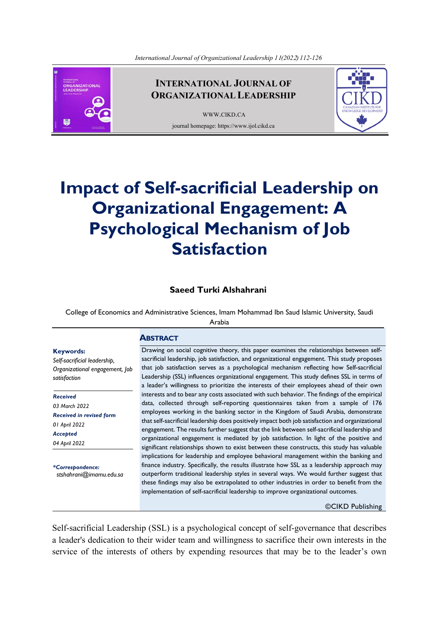

# **INTERNATIONAL JOURNAL OF ORGANIZATIONAL LEADERSHIP**

[WWW.CIKD.CA](http://www.cikd.ca/) journal homepage: https://www.ijol.cikd.ca



# **Impact of Self-sacrificial Leadership on Organizational Engagement: A Psychological Mechanism of Job Satisfaction**

# **Saeed Turki Alshahrani**

College of Economics and Administrative Sciences, Imam Mohammad Ibn Saud Islamic University, Saudi

Arabia

**ABSTRACT**

# **Keywords:**

*Self-sacrificial leadership, Organizational engagement, Job satisfaction* 

*Received 03 March 2022 Received in revised form 01 April 2022 Accepted 04 April 2022*

*\*Correspondence: stshahrani@imamu.edu.sa* Drawing on social cognitive theory, this paper examines the relationships between selfsacrificial leadership, job satisfaction, and organizational engagement. This study proposes that job satisfaction serves as a psychological mechanism reflecting how Self-sacrificial Leadership (SSL) influences organizational engagement. This study defines SSL in terms of a leader's willingness to prioritize the interests of their employees ahead of their own interests and to bear any costs associated with such behavior. The findings of the empirical data, collected through self-reporting questionnaires taken from a sample of 176 employees working in the banking sector in the Kingdom of Saudi Arabia, demonstrate that self-sacrificial leadership does positively impact both job satisfaction and organizational engagement. The results further suggest that the link between self-sacrificial leadership and organizational engagement is mediated by job satisfaction. In light of the positive and significant relationships shown to exist between these constructs, this study has valuable implications for leadership and employee behavioral management within the banking and finance industry. Specifically, the results illustrate how SSL as a leadership approach may outperform traditional leadership styles in several ways. We would further suggest that these findings may also be extrapolated to other industries in order to benefit from the implementation of self-sacrificial leadership to improve organizational outcomes.

©CIKD Publishing

Self-sacrificial Leadership (SSL) is a psychological concept of self-governance that describes a leader's dedication to their wider team and willingness to sacrifice their own interests in the service of the interests of others by expending resources that may be to the leader's own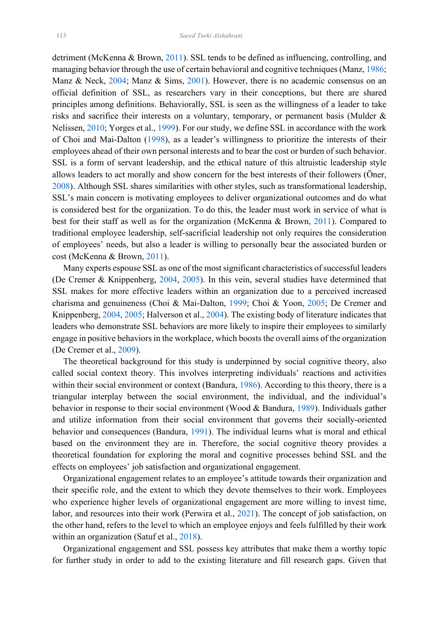<span id="page-1-17"></span><span id="page-1-12"></span><span id="page-1-11"></span><span id="page-1-10"></span><span id="page-1-9"></span><span id="page-1-8"></span><span id="page-1-2"></span>detriment (McKenna & Brown, [2011\)](#page-13-0). SSL tends to be defined as influencing, controlling, and managing behavior through the use of certain behavioral and cognitive techniques (Manz, [1986;](#page-13-1) Manz & Neck, [2004;](#page-13-2) Manz & Sims, [2001\)](#page-13-3). However, there is no academic consensus on an official definition of SSL, as researchers vary in their conceptions, but there are shared principles among definitions. Behaviorally, SSL is seen as the willingness of a leader to take risks and sacrifice their interests on a voluntary, temporary, or permanent basis (Mulder & Nelissen, [2010;](#page-13-4) Yorges et al., [1999\)](#page-14-0). For our study, we define SSL in accordance with the work of Choi and Mai-Dalton [\(1998\)](#page-12-0), as a leader's willingness to prioritize the interests of their employees ahead of their own personal interests and to bear the cost or burden of such behavior. SSL is a form of servant leadership, and the ethical nature of this altruistic leadership style allows leaders to act morally and show concern for the best interests of their followers (Öner, [2008\)](#page-13-5). Although SSL shares similarities with other styles, such as transformational leadership, SSL's main concern is motivating employees to deliver organizational outcomes and do what is considered best for the organization. To do this, the leader must work in service of what is best for their staff as well as for the organization (McKenna & Brown, [2011\)](#page-13-0). Compared to traditional employee leadership, self-sacrificial leadership not only requires the consideration of employees' needs, but also a leader is willing to personally bear the associated burden or cost (McKenna & Brown, [2011\)](#page-13-0).

<span id="page-1-13"></span><span id="page-1-7"></span><span id="page-1-5"></span><span id="page-1-4"></span><span id="page-1-3"></span> Many experts espouse SSL as one of the most significant characteristics of successful leaders (De Cremer & Knippenberg, [2004,](#page-12-1) [2005\)](#page-12-2). In this vein, several studies have determined that SSL makes for more effective leaders within an organization due to a perceived increased charisma and genuineness (Choi & Mai-Dalton, [1999;](#page-12-3) Choi & Yoon, [2005;](#page-12-4) De Cremer and Knippenberg, [2004,](#page-12-1) [2005;](#page-12-2) Halverson et al., [2004\)](#page-13-6). The existing body of literature indicates that leaders who demonstrate SSL behaviors are more likely to inspire their employees to similarly engage in positive behaviors in the workplace, which boosts the overall aims of the organization (De Cremer et al., [2009\)](#page-13-7).

<span id="page-1-16"></span><span id="page-1-6"></span><span id="page-1-0"></span> The theoretical background for this study is underpinned by social cognitive theory, also called social context theory. This involves interpreting individuals' reactions and activities within their social environment or context (Bandura, [1986\)](#page-12-5). According to this theory, there is a triangular interplay between the social environment, the individual, and the individual's behavior in response to their social environment (Wood & Bandura, [1989\)](#page-14-1). Individuals gather and utilize information from their social environment that governs their socially-oriented behavior and consequences (Bandura, [1991\)](#page-12-6). The individual learns what is moral and ethical based on the environment they are in. Therefore, the social cognitive theory provides a theoretical foundation for exploring the moral and cognitive processes behind SSL and the effects on employees' job satisfaction and organizational engagement.

<span id="page-1-14"></span><span id="page-1-1"></span> Organizational engagement relates to an employee's attitude towards their organization and their specific role, and the extent to which they devote themselves to their work. Employees who experience higher levels of organizational engagement are more willing to invest time, labor, and resources into their work (Perwira et al., [2021\)](#page-14-2). The concept of job satisfaction, on the other hand, refers to the level to which an employee enjoys and feels fulfilled by their work within an organization (Satuf et al., [2018\)](#page-14-3).

<span id="page-1-15"></span> Organizational engagement and SSL possess key attributes that make them a worthy topic for further study in order to add to the existing literature and fill research gaps. Given that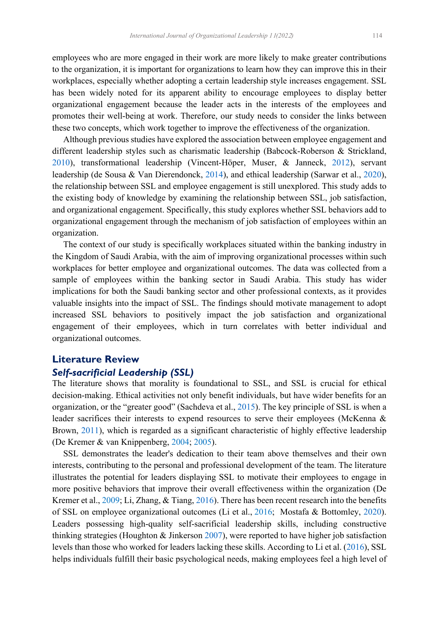employees who are more engaged in their work are more likely to make greater contributions to the organization, it is important for organizations to learn how they can improve this in their workplaces, especially whether adopting a certain leadership style increases engagement. SSL has been widely noted for its apparent ability to encourage employees to display better organizational engagement because the leader acts in the interests of the employees and promotes their well-being at work. Therefore, our study needs to consider the links between these two concepts, which work together to improve the effectiveness of the organization.

<span id="page-2-7"></span><span id="page-2-6"></span><span id="page-2-1"></span><span id="page-2-0"></span> Although previous studies have explored the association between employee engagement and different leadership styles such as charismatic leadership (Babcock-Roberson & Strickland, [2010](#page-12-7)), transformational leadership (Vincent‐Höper, Muser, & Janneck, [2012\)](#page-14-4), servant leadership (de Sousa & Van Dierendonck, [2014\)](#page-13-8), and ethical leadership (Sarwar et al., [2020\)](#page-14-5), the relationship between SSL and employee engagement is still unexplored. This study adds to the existing body of knowledge by examining the relationship between SSL, job satisfaction, and organizational engagement. Specifically, this study explores whether SSL behaviors add to organizational engagement through the mechanism of job satisfaction of employees within an organization.

 The context of our study is specifically workplaces situated within the banking industry in the Kingdom of Saudi Arabia, with the aim of improving organizational processes within such workplaces for better employee and organizational outcomes. The data was collected from a sample of employees within the banking sector in Saudi Arabia. This study has wider implications for both the Saudi banking sector and other professional contexts, as it provides valuable insights into the impact of SSL. The findings should motivate management to adopt increased SSL behaviors to positively impact the job satisfaction and organizational engagement of their employees, which in turn correlates with better individual and organizational outcomes.

# **Literature Review**

#### *Self-sacrificial Leadership (SSL)*

<span id="page-2-5"></span>The literature shows that morality is foundational to SSL, and SSL is crucial for ethical decision-making. Ethical activities not only benefit individuals, but have wider benefits for an organization, or the "greater good" (Sachdeva et al., [2015\)](#page-14-6). The key principle of SSL is when a leader sacrifices their interests to expend resources to serve their employees (McKenna & Brown, [2011\)](#page-13-0), which is regarded as a significant characteristic of highly effective leadership (De Kremer & van Knippenberg, 2004; 2005).

<span id="page-2-4"></span><span id="page-2-3"></span><span id="page-2-2"></span> SSL demonstrates the leader's dedication to their team above themselves and their own interests, contributing to the personal and professional development of the team. The literature illustrates the potential for leaders displaying SSL to motivate their employees to engage in more positive behaviors that improve their overall effectiveness within the organization (De Kremer et al., 2009; Li, Zhang, & Tiang, [2016\)](#page-13-9). There has been recent research into the benefits of SSL on employee organizational outcomes (Li et al., [2016;](#page-13-9) Mostafa & Bottomley, [2020\)](#page-13-10). Leaders possessing high-quality self-sacrificial leadership skills, including constructive thinking strategies (Houghton & Jinkerson [2007\)](#page-13-11), were reported to have higher job satisfaction levels than those who worked for leaders lacking these skills. According to Li et al. [\(2016\)](#page-13-9), SSL helps individuals fulfill their basic psychological needs, making employees feel a high level of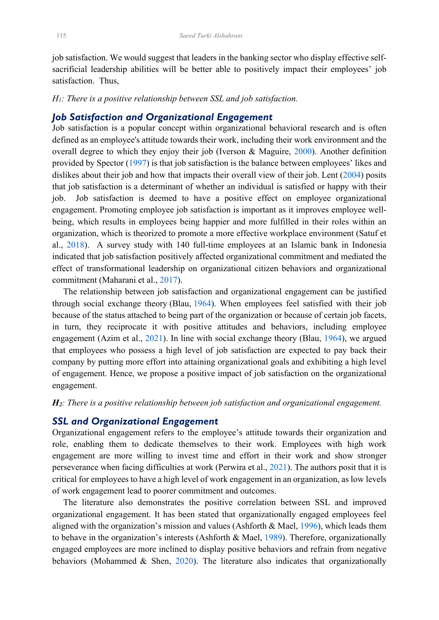job satisfaction. We would suggest that leaders in the banking sector who display effective selfsacrificial leadership abilities will be better able to positively impact their employees' job satisfaction. Thus,

*H1: There is a positive relationship between SSL and job satisfaction.*

## *Job Satisfaction and Organizational Engagement*

<span id="page-3-8"></span><span id="page-3-5"></span><span id="page-3-4"></span>Job satisfaction is a popular concept within organizational behavioral research and is often defined as an employee's attitude towards their work, including their work environment and the overall degree to which they enjoy their job (Iverson & Maguire, [2000\)](#page-13-12). Another definition provided by Spector [\(1997\)](#page-14-7) is that job satisfaction is the balance between employees' likes and dislikes about their job and how that impacts their overall view of their job. Lent [\(2004\)](#page-13-13) posits that job satisfaction is a determinant of whether an individual is satisfied or happy with their job. Job satisfaction is deemed to have a positive effect on employee organizational engagement. Promoting employee job satisfaction is important as it improves employee wellbeing, which results in employees being happier and more fulfilled in their roles within an organization, which is theorized to promote a more effective workplace environment (Satuf et al., [2018\)](#page-14-3). A survey study with 140 full-time employees at an Islamic bank in Indonesia indicated that job satisfaction positively affected organizational commitment and mediated the effect of transformational leadership on organizational citizen behaviors and organizational commitment (Maharani et al., [2017\)](#page-13-14).

<span id="page-3-6"></span><span id="page-3-3"></span><span id="page-3-2"></span> The relationship between job satisfaction and organizational engagement can be justified through social exchange theory (Blau, [1964\)](#page-12-8). When employees feel satisfied with their job because of the status attached to being part of the organization or because of certain job facets, in turn, they reciprocate it with positive attitudes and behaviors, including employee engagement (Azim et al., [2021\)](#page-12-9). In line with social exchange theory (Blau, [1964\)](#page-12-8), we argued that employees who possess a high level of job satisfaction are expected to pay back their company by putting more effort into attaining organizational goals and exhibiting a high level of engagement. Hence, we propose a positive impact of job satisfaction on the organizational engagement.

#### *H2: There is a positive relationship between job satisfaction and organizational engagement.*

#### *SSL and Organizational Engagement*

Organizational engagement refers to the employee's attitude towards their organization and role, enabling them to dedicate themselves to their work. Employees with high work engagement are more willing to invest time and effort in their work and show stronger perseverance when facing difficulties at work (Perwira et al., [2021\)](#page-14-2). The authors posit that it is critical for employees to have a high level of work engagement in an organization, as low levels of work engagement lead to poorer commitment and outcomes.

<span id="page-3-7"></span><span id="page-3-1"></span><span id="page-3-0"></span> The literature also demonstrates the positive correlation between SSL and improved organizational engagement. It has been stated that organizationally engaged employees feel aligned with the organization's mission and values (Ashforth & Mael, [1996\)](#page-12-10), which leads them to behave in the organization's interests (Ashforth & Mael, [1989\)](#page-12-11). Therefore, organizationally engaged employees are more inclined to display positive behaviors and refrain from negative behaviors (Mohammed & Shen, [2020\)](#page-13-15). The literature also indicates that organizationally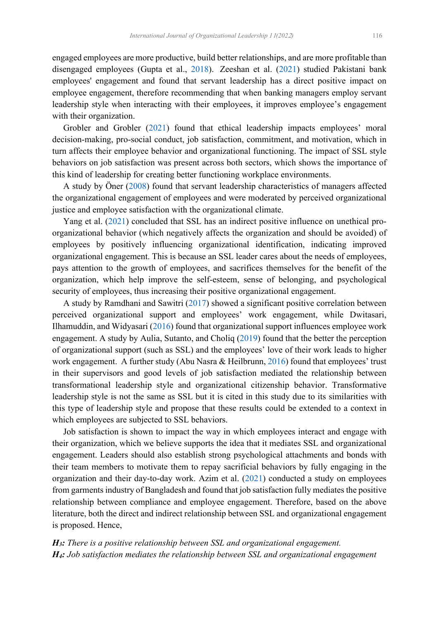<span id="page-4-7"></span><span id="page-4-4"></span>engaged employees are more productive, build better relationships, and are more profitable than disengaged employees (Gupta et al., [2018\)](#page-13-16). Zeeshan et al. [\(2021\)](#page-14-8) studied Pakistani bank employees' engagement and found that servant leadership has a direct positive impact on employee engagement, therefore recommending that when banking managers employ servant leadership style when interacting with their employees, it improves employee's engagement with their organization.

<span id="page-4-3"></span> Grobler and Grobler [\(2021\)](#page-13-17) found that ethical leadership impacts employees' moral decision-making, pro-social conduct, job satisfaction, commitment, and motivation, which in turn affects their employee behavior and organizational functioning. The impact of SSL style behaviors on job satisfaction was present across both sectors, which shows the importance of this kind of leadership for creating better functioning workplace environments.

 A study by Öner [\(2008\)](#page-13-5) found that servant leadership characteristics of managers affected the organizational engagement of employees and were moderated by perceived organizational justice and employee satisfaction with the organizational climate.

<span id="page-4-6"></span> Yang et al. [\(2021\)](#page-14-9) concluded that SSL has an indirect positive influence on unethical proorganizational behavior (which negatively affects the organization and should be avoided) of employees by positively influencing organizational identification, indicating improved organizational engagement. This is because an SSL leader cares about the needs of employees, pays attention to the growth of employees, and sacrifices themselves for the benefit of the organization, which help improve the self-esteem, sense of belonging, and psychological security of employees, thus increasing their positive organizational engagement.

<span id="page-4-5"></span><span id="page-4-2"></span><span id="page-4-1"></span><span id="page-4-0"></span> A study by Ramdhani and Sawitri [\(2017\)](#page-14-10) showed a significant positive correlation between perceived organizational support and employees' work engagement, while Dwitasari, Ilhamuddin, and Widyasari [\(2016\)](#page-13-18) found that organizational support influences employee work engagement. A study by Aulia, Sutanto, and Choliq [\(2019\)](#page-12-12) found that the better the perception of organizational support (such as SSL) and the employees' love of their work leads to higher work engagement. A further study (Abu Nasra & Heilbrunn, [2016\)](#page-12-13) found that employees' trust in their supervisors and good levels of job satisfaction mediated the relationship between transformational leadership style and organizational citizenship behavior. Transformative leadership style is not the same as SSL but it is cited in this study due to its similarities with this type of leadership style and propose that these results could be extended to a context in which employees are subjected to SSL behaviors.

 Job satisfaction is shown to impact the way in which employees interact and engage with their organization, which we believe supports the idea that it mediates SSL and organizational engagement. Leaders should also establish strong psychological attachments and bonds with their team members to motivate them to repay sacrificial behaviors by fully engaging in the organization and their day-to-day work. Azim et al. [\(2021\)](#page-12-9) conducted a study on employees from garments industry of Bangladesh and found that job satisfaction fully mediates the positive relationship between compliance and employee engagement. Therefore, based on the above literature, both the direct and indirect relationship between SSL and organizational engagement is proposed. Hence,

*H3: There is a positive relationship between SSL and organizational engagement. H4: Job satisfaction mediates the relationship between SSL and organizational engagement*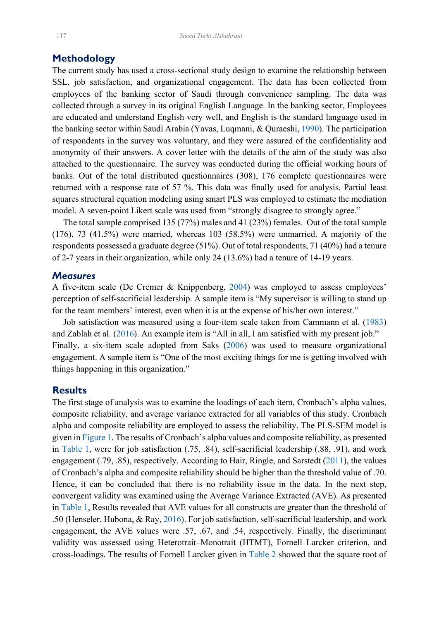# **Methodology**

<span id="page-5-4"></span>The current study has used a cross-sectional study design to examine the relationship between SSL, job satisfaction, and organizational engagement. The data has been collected from employees of the banking sector of Saudi through convenience sampling. The data was collected through a survey in its original English Language. In the banking sector, Employees are educated and understand English very well, and English is the standard language used in the banking sector within Saudi Arabia (Yavas, Luqmani, & Quraeshi, [1990\)](#page-14-11). The participation of respondents in the survey was voluntary, and they were assured of the confidentiality and anonymity of their answers. A cover letter with the details of the aim of the study was also attached to the questionnaire. The survey was conducted during the official working hours of banks. Out of the total distributed questionnaires (308), 176 complete questionnaires were returned with a response rate of 57 %. This data was finally used for analysis. Partial least squares structural equation modeling using smart PLS was employed to estimate the mediation model. A seven-point Likert scale was used from "strongly disagree to strongly agree."

 The total sample comprised 135 (77%) males and 41 (23%) females. Out of the total sample (176), 73 (41.5%) were married, whereas 103 (58.5%) were unmarried. A majority of the respondents possessed a graduate degree (51%). Out of total respondents, 71 (40%) had a tenure of 2-7 years in their organization, while only 24 (13.6%) had a tenure of 14-19 years.

#### *Measures*

A five-item scale (De Cremer & Knippenberg, [2004\)](#page-12-1) was employed to assess employees' perception of self-sacrificial leadership. A sample item is "My supervisor is willing to stand up for the team members' interest, even when it is at the expense of his/her own interest."

<span id="page-5-5"></span><span id="page-5-3"></span><span id="page-5-0"></span> Job satisfaction was measured using a four-item scale taken from Cammann et al. [\(1983\)](#page-12-14) and Zablah et al. [\(2016\)](#page-14-12). An example item is "All in all, I am satisfied with my present job." Finally, a six-item scale adopted from Saks [\(2006\)](#page-14-13) was used to measure organizational engagement. A sample item is "One of the most exciting things for me is getting involved with things happening in this organization."

## **Results**

<span id="page-5-2"></span><span id="page-5-1"></span>The first stage of analysis was to examine the loadings of each item, Cronbach's alpha values, composite reliability, and average variance extracted for all variables of this study. Cronbach alpha and composite reliability are employed to assess the reliability. The PLS-SEM model is given i[n Figure 1.](#page-6-0) The results of Cronbach's alpha values and composite reliability, as presented in [Table 1,](#page-6-1) were for job satisfaction (.75, .84), self-sacrificial leadership (.88, .91), and work engagement (.79, .85), respectively. According to Hair, Ringle, and Sarstedt [\(2011\)](#page-13-19), the values of Cronbach's alpha and composite reliability should be higher than the threshold value of .70. Hence, it can be concluded that there is no reliability issue in the data. In the next step, convergent validity was examined using the Average Variance Extracted (AVE). As presented in [Table 1,](#page-6-1) Results revealed that AVE values for all constructs are greater than the threshold of .50 (Henseler, Hubona, & Ray, [2016\)](#page-13-20). For job satisfaction, self-sacrificial leadership, and work engagement, the AVE values were .57, .67, and .54, respectively. Finally, the discriminant validity was assessed using Heterotrait–Monotrait (HTMT), Fornell Larcker criterion, and cross-loadings. The results of Fornell Larcker given in [Table 2](#page-6-2) showed that the square root of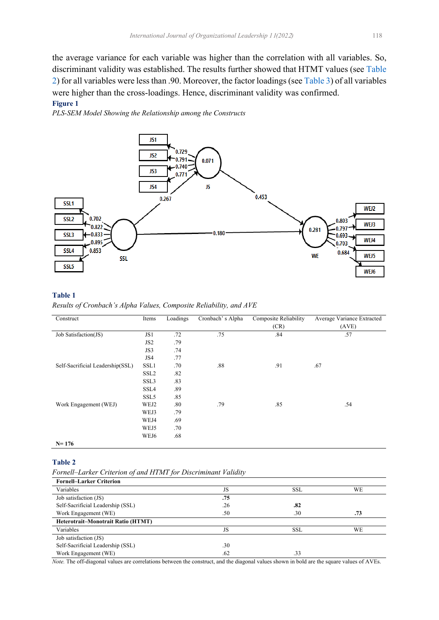the average variance for each variable was higher than the correlation with all variables. So, discriminant validity was established. The results further showed that HTMT values (see [Table](#page-6-2)  [2\)](#page-6-2) for all variables were less than .90. Moreover, the factor loadings (see [Table 3\)](#page-7-0) of all variables were higher than the cross-loadings. Hence, discriminant validity was confirmed.

#### <span id="page-6-0"></span>**Figure 1**

*PLS-SEM Model Showing the Relationship among the Constructs*



#### <span id="page-6-1"></span>**Table 1**

*Results of Cronbach's Alpha Values, Composite Reliability, and AVE*

| Construct                        | Items            | Loadings | Cronbach's Alpha | <b>Composite Reliability</b> | Average Variance Extracted |  |
|----------------------------------|------------------|----------|------------------|------------------------------|----------------------------|--|
|                                  |                  |          |                  | (CR)                         | (AVE)                      |  |
| Job Satisfaction(JS)             | JS1              | .72      | .75              | .84                          | .57                        |  |
|                                  | JS <sub>2</sub>  | .79      |                  |                              |                            |  |
|                                  | JS3              | .74      |                  |                              |                            |  |
|                                  | JS4              | .77      |                  |                              |                            |  |
| Self-Sacrificial Leadership(SSL) | SSL1             | .70      | .88              | .91                          | .67                        |  |
|                                  | SSL <sub>2</sub> | .82      |                  |                              |                            |  |
|                                  | SSL3             | .83      |                  |                              |                            |  |
|                                  | SSL4             | .89      |                  |                              |                            |  |
|                                  | SSL <sub>5</sub> | .85      |                  |                              |                            |  |
| Work Engagement (WEJ)            | WEJ2             | .80      | .79              | .85                          | .54                        |  |
|                                  | WEJ3             | .79      |                  |                              |                            |  |
|                                  | WEJ4             | .69      |                  |                              |                            |  |
|                                  | WEJ5             | .70      |                  |                              |                            |  |
|                                  | WEJ6             | .68      |                  |                              |                            |  |
| $N = 176$                        |                  |          |                  |                              |                            |  |

#### <span id="page-6-2"></span>**Table 2**

| Fornell–Larker Criterion of and HTMT for Discriminant Validity |  |  |
|----------------------------------------------------------------|--|--|
|                                                                |  |  |

| <b>Fornell-Larker Criterion</b>           |     |            |     |
|-------------------------------------------|-----|------------|-----|
| Variables                                 | JS  | <b>SSL</b> | WE  |
| Job satisfaction (JS)                     | .75 |            |     |
| Self-Sacrificial Leadership (SSL)         | .26 | .82        |     |
| Work Engagement (WE)                      | .50 | .30        | .73 |
| <b>Heterotrait-Monotrait Ratio (HTMT)</b> |     |            |     |
| Variables                                 | JS  | <b>SSL</b> | WE  |
| Job satisfaction (JS)                     |     |            |     |
| Self-Sacrificial Leadership (SSL)         | .30 |            |     |
| Work Engagement (WE)                      | .62 | .33        |     |

*Note.* The off-diagonal values are correlations between the construct, and the diagonal values shown in bold are the square values of AVEs.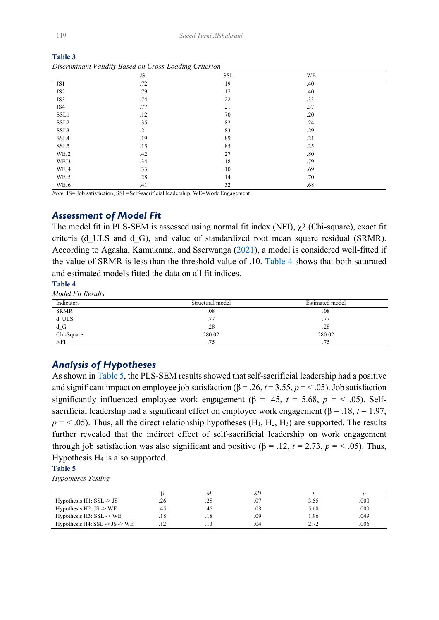| <br>-----<br>---------- |     |     |     |  |  |
|-------------------------|-----|-----|-----|--|--|
|                         | JS  | SSL | WE  |  |  |
| JS1                     | .72 | .19 | .40 |  |  |
| JS <sub>2</sub>         | .79 | .17 | .40 |  |  |
| JS3                     | .74 | .22 | .33 |  |  |
| JS4                     | .77 | .21 | .37 |  |  |
| SSL1                    | .12 | .70 | .20 |  |  |
| SSL <sub>2</sub>        | .35 | .82 | .24 |  |  |
| SSL3                    | .21 | .83 | .29 |  |  |
| SSL4                    | .19 | .89 | .21 |  |  |
| SSL5                    | .15 | .85 | .25 |  |  |
| WEJ2                    | .42 | .27 | .80 |  |  |
| WEJ3                    | .34 | .18 | .79 |  |  |
| WEJ4                    | .33 | .10 | .69 |  |  |
| WEJ5                    | .28 | .14 | .70 |  |  |
| WEJ6                    | .41 | .32 | .68 |  |  |

<span id="page-7-0"></span>**Table 3** *Discriminant Validity Based on Cross-Loading Criterion*

*Note.* JS= Job satisfaction, SSL=Self-sacrificial leadership, WE=Work Engagement

# *Assessment of Model Fit*

<span id="page-7-3"></span>The model fit in PLS-SEM is assessed using normal fit index (NFI),  $\chi$ 2 (Chi-square), exact fit criteria (d\_ULS and d\_G), and value of standardized root mean square residual (SRMR). According to Agasha, Kamukama, and Sserwanga [\(2021\)](#page-12-15), a model is considered well-fitted if the value of SRMR is less than the threshold value of .10. [Table 4](#page-7-1) shows that both saturated and estimated models fitted the data on all fit indices.

#### <span id="page-7-1"></span>**Table 4**

*Model Fit Results*

| Indicators        | Structural model | Estimated model |
|-------------------|------------------|-----------------|
| <b>SRMR</b>       | .08              | .08             |
| $d$ _ULS          | .77              | .77             |
| d_G<br>Chi-Square | .28              | .28             |
|                   | 280.02           | 280.02          |
| <b>NFI</b>        | .75              | .75             |

## *Analysis of Hypotheses*

As shown in [Table 5,](#page-7-2) the PLS-SEM results showed that self-sacrificial leadership had a positive and significant impact on employee job satisfaction ( $\beta$  = .26,  $t$  = 3.55,  $p$  = < .05). Job satisfaction significantly influenced employee work engagement ( $\beta$  = .45,  $t$  = 5.68,  $p$  = < .05). Selfsacrificial leadership had a significant effect on employee work engagement ( $\beta$  = .18, *t* = 1.97,  $p = 5$ .05). Thus, all the direct relationship hypotheses (H<sub>1</sub>, H<sub>2</sub>, H<sub>3</sub>) are supported. The results further revealed that the indirect effect of self-sacrificial leadership on work engagement through job satisfaction was also significant and positive (β = .12,  $t = 2.73$ ,  $p = 5$ .). Thus, Hypothesis H4 is also supported.

#### <span id="page-7-2"></span>**Table 5**

*Hypotheses Testing*

|                                                    |     |     | SD  |      |      |
|----------------------------------------------------|-----|-----|-----|------|------|
| Hypothesis $H1: SSL \rightarrow JS$                | .26 | .28 |     | 3.55 | .000 |
| Hypothesis $H2: JS \rightarrow WE$                 |     |     | .08 | 5.68 | .000 |
| Hypothesis $H3: SSL \rightarrow WE$                | .18 | .18 | .09 | 1.96 | .049 |
| Hypothesis H4: $SSL \rightarrow JS \rightarrow WE$ |     |     | .04 | 2.72 | .006 |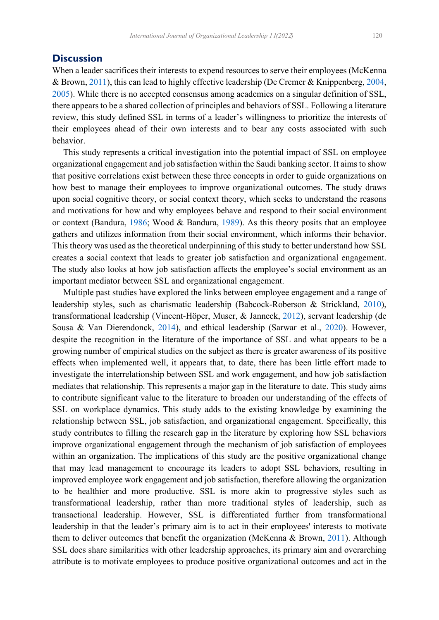# **Discussion**

When a leader sacrifices their interests to expend resources to serve their employees (McKenna & Brown, [2011\)](#page-13-0), this can lead to highly effective leadership (De Cremer & Knippenberg, [2004,](#page-12-1) [2005\)](#page-12-2). While there is no accepted consensus among academics on a singular definition of SSL, there appears to be a shared collection of principles and behaviors of SSL. Following a literature review, this study defined SSL in terms of a leader's willingness to prioritize the interests of their employees ahead of their own interests and to bear any costs associated with such behavior.

 This study represents a critical investigation into the potential impact of SSL on employee organizational engagement and job satisfaction within the Saudi banking sector. It aims to show that positive correlations exist between these three concepts in order to guide organizations on how best to manage their employees to improve organizational outcomes. The study draws upon social cognitive theory, or social context theory, which seeks to understand the reasons and motivations for how and why employees behave and respond to their social environment or context (Bandura, [1986;](#page-12-5) Wood & Bandura, [1989\)](#page-14-1). As this theory posits that an employee gathers and utilizes information from their social environment, which informs their behavior. This theory was used as the theoretical underpinning of this study to better understand how SSL creates a social context that leads to greater job satisfaction and organizational engagement. The study also looks at how job satisfaction affects the employee's social environment as an important mediator between SSL and organizational engagement.

 Multiple past studies have explored the links between employee engagement and a range of leadership styles, such as charismatic leadership (Babcock-Roberson & Strickland, [2010\)](#page-12-7), transformational leadership (Vincent‐Höper, Muser, & Janneck, [2012\)](#page-14-4), servant leadership (de Sousa & Van Dierendonck, [2014\)](#page-13-8), and ethical leadership (Sarwar et al., [2020\)](#page-14-5). However, despite the recognition in the literature of the importance of SSL and what appears to be a growing number of empirical studies on the subject as there is greater awareness of its positive effects when implemented well, it appears that, to date, there has been little effort made to investigate the interrelationship between SSL and work engagement, and how job satisfaction mediates that relationship. This represents a major gap in the literature to date. This study aims to contribute significant value to the literature to broaden our understanding of the effects of SSL on workplace dynamics. This study adds to the existing knowledge by examining the relationship between SSL, job satisfaction, and organizational engagement. Specifically, this study contributes to filling the research gap in the literature by exploring how SSL behaviors improve organizational engagement through the mechanism of job satisfaction of employees within an organization. The implications of this study are the positive organizational change that may lead management to encourage its leaders to adopt SSL behaviors, resulting in improved employee work engagement and job satisfaction, therefore allowing the organization to be healthier and more productive. SSL is more akin to progressive styles such as transformational leadership, rather than more traditional styles of leadership, such as transactional leadership. However, SSL is differentiated further from transformational leadership in that the leader's primary aim is to act in their employees' interests to motivate them to deliver outcomes that benefit the organization (McKenna & Brown, [2011\)](#page-13-0). Although SSL does share similarities with other leadership approaches, its primary aim and overarching attribute is to motivate employees to produce positive organizational outcomes and act in the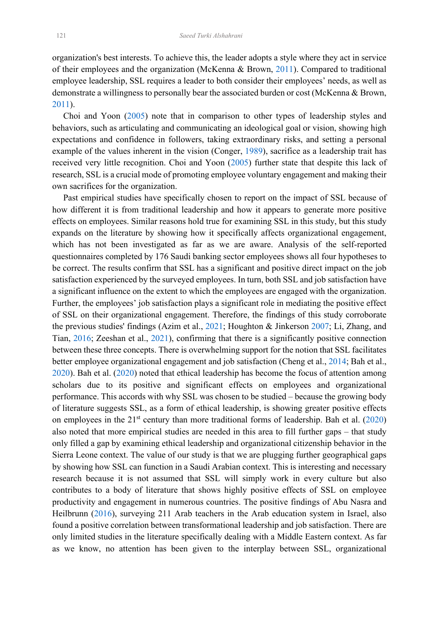organization's best interests. To achieve this, the leader adopts a style where they act in service of their employees and the organization (McKenna & Brown, [2011\)](#page-13-0). Compared to traditional employee leadership, SSL requires a leader to both consider their employees' needs, as well as demonstrate a willingness to personally bear the associated burden or cost (McKenna & Brown, [2011\)](#page-13-0).

<span id="page-9-2"></span> Choi and Yoon [\(2005\)](#page-12-4) note that in comparison to other types of leadership styles and behaviors, such as articulating and communicating an ideological goal or vision, showing high expectations and confidence in followers, taking extraordinary risks, and setting a personal example of the values inherent in the vision (Conger, [1989\)](#page-12-16), sacrifice as a leadership trait has received very little recognition. Choi and Yoon [\(2005\)](#page-12-4) further state that despite this lack of research, SSL is a crucial mode of promoting employee voluntary engagement and making their own sacrifices for the organization.

<span id="page-9-1"></span><span id="page-9-0"></span> Past empirical studies have specifically chosen to report on the impact of SSL because of how different it is from traditional leadership and how it appears to generate more positive effects on employees. Similar reasons hold true for examining SSL in this study, but this study expands on the literature by showing how it specifically affects organizational engagement, which has not been investigated as far as we are aware. Analysis of the self-reported questionnaires completed by 176 Saudi banking sector employees shows all four hypotheses to be correct. The results confirm that SSL has a significant and positive direct impact on the job satisfaction experienced by the surveyed employees. In turn, both SSL and job satisfaction have a significant influence on the extent to which the employees are engaged with the organization. Further, the employees' job satisfaction plays a significant role in mediating the positive effect of SSL on their organizational engagement. Therefore, the findings of this study corroborate the previous studies' findings (Azim et al., [2021](#page-12-9); Houghton & Jinkerson [2007;](#page-13-11) Li, Zhang, and Tian, [2016;](#page-13-9) Zeeshan et al., [2021\)](#page-14-8), confirming that there is a significantly positive connection between these three concepts. There is overwhelming support for the notion that SSL facilitates better employee organizational engagement and job satisfaction (Cheng et al., [2014;](#page-12-17) Bah et al., [2020\)](#page-12-18). Bah et al. [\(2020\)](#page-12-18) noted that ethical leadership has become the focus of attention among scholars due to its positive and significant effects on employees and organizational performance. This accords with why SSL was chosen to be studied – because the growing body of literature suggests SSL, as a form of ethical leadership, is showing greater positive effects on employees in the  $21<sup>st</sup>$  century than more traditional forms of leadership. Bah et al. [\(2020\)](#page-12-18) also noted that more empirical studies are needed in this area to fill further gaps – that study only filled a gap by examining ethical leadership and organizational citizenship behavior in the Sierra Leone context. The value of our study is that we are plugging further geographical gaps by showing how SSL can function in a Saudi Arabian context. This is interesting and necessary research because it is not assumed that SSL will simply work in every culture but also contributes to a body of literature that shows highly positive effects of SSL on employee productivity and engagement in numerous countries. The positive findings of Abu Nasra and Heilbrunn [\(2016\)](#page-12-13), surveying 211 Arab teachers in the Arab education system in Israel, also found a positive correlation between transformational leadership and job satisfaction. There are only limited studies in the literature specifically dealing with a Middle Eastern context. As far as we know, no attention has been given to the interplay between SSL, organizational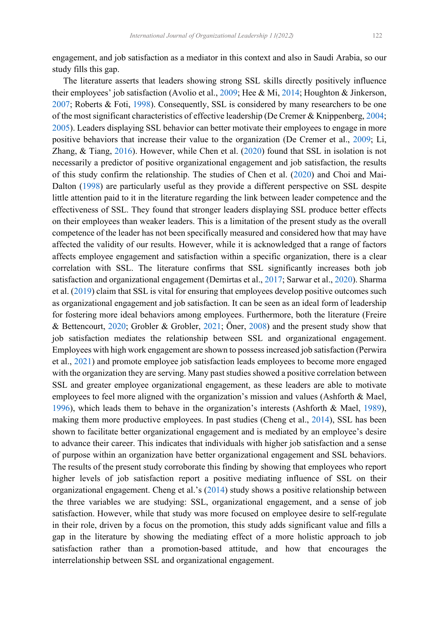engagement, and job satisfaction as a mediator in this context and also in Saudi Arabia, so our study fills this gap.

<span id="page-10-5"></span><span id="page-10-4"></span><span id="page-10-3"></span><span id="page-10-2"></span><span id="page-10-1"></span><span id="page-10-0"></span> The literature asserts that leaders showing strong SSL skills directly positively influence their employees' job satisfaction (Avolio et al., [2009;](#page-12-19) Hee & Mi, [2014](#page-13-21); Houghton & Jinkerson, [2007;](#page-13-11) Roberts & Foti, [1998\)](#page-14-14). Consequently, SSL is considered by many researchers to be one of the most significant characteristics of effective leadership (De Cremer & Knippenberg, [2004;](#page-12-1) [2005\)](#page-12-2). Leaders displaying SSL behavior can better motivate their employees to engage in more positive behaviors that increase their value to the organization (De Cremer et al., [2009;](#page-13-7) Li, Zhang, & Tiang, [2016\)](#page-13-9). However, while Chen et al. [\(2020\)](#page-12-20) found that SSL in isolation is not necessarily a predictor of positive organizational engagement and job satisfaction, the results of this study confirm the relationship. The studies of Chen et al. [\(2020\)](#page-12-20) and Choi and Mai-Dalton [\(1998\)](#page-12-0) are particularly useful as they provide a different perspective on SSL despite little attention paid to it in the literature regarding the link between leader competence and the effectiveness of SSL. They found that stronger leaders displaying SSL produce better effects on their employees than weaker leaders. This is a limitation of the present study as the overall competence of the leader has not been specifically measured and considered how that may have affected the validity of our results. However, while it is acknowledged that a range of factors affects employee engagement and satisfaction within a specific organization, there is a clear correlation with SSL. The literature confirms that SSL significantly increases both job satisfaction and organizational engagement (Demirtas et al., [2017;](#page-12-21) Sarwar et al., [2020\)](#page-14-5). Sharma et al. [\(2019\)](#page-14-15) claim that SSL is vital for ensuring that employees develop positive outcomes such as organizational engagement and job satisfaction. It can be seen as an ideal form of leadership for fostering more ideal behaviors among employees. Furthermore, both the literature (Freire & Bettencourt, [2020;](#page-13-22) Grobler & Grobler, [2021;](#page-13-17) Öner, [2008\)](#page-13-5) and the present study show that job satisfaction mediates the relationship between SSL and organizational engagement. Employees with high work engagement are shown to possess increased job satisfaction (Perwira et al., [2021\)](#page-14-2) and promote employee job satisfaction leads employees to become more engaged with the organization they are serving. Many past studies showed a positive correlation between SSL and greater employee organizational engagement, as these leaders are able to motivate employees to feel more aligned with the organization's mission and values (Ashforth & Mael, [1996\)](#page-12-10), which leads them to behave in the organization's interests (Ashforth & Mael, [1989\)](#page-12-11), making them more productive employees. In past studies (Cheng et al., [2014\)](#page-12-17), SSL has been shown to facilitate better organizational engagement and is mediated by an employee's desire to advance their career. This indicates that individuals with higher job satisfaction and a sense of purpose within an organization have better organizational engagement and SSL behaviors. The results of the present study corroborate this finding by showing that employees who report higher levels of job satisfaction report a positive mediating influence of SSL on their organizational engagement. Cheng et al.'s [\(2014\)](#page-12-17) study shows a positive relationship between the three variables we are studying: SSL, organizational engagement, and a sense of job satisfaction. However, while that study was more focused on employee desire to self-regulate in their role, driven by a focus on the promotion, this study adds significant value and fills a gap in the literature by showing the mediating effect of a more holistic approach to job satisfaction rather than a promotion-based attitude, and how that encourages the interrelationship between SSL and organizational engagement.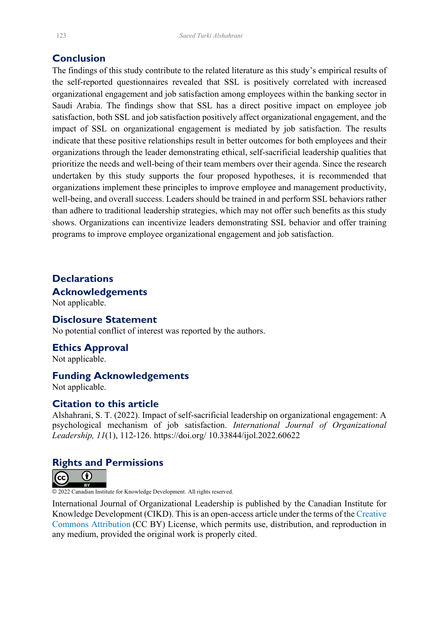# **Conclusion**

The findings of this study contribute to the related literature as this study's empirical results of the self-reported questionnaires revealed that SSL is positively correlated with increased organizational engagement and job satisfaction among employees within the banking sector in Saudi Arabia. The findings show that SSL has a direct positive impact on employee job satisfaction, both SSL and job satisfaction positively affect organizational engagement, and the impact of SSL on organizational engagement is mediated by job satisfaction. The results indicate that these positive relationships result in better outcomes for both employees and their organizations through the leader demonstrating ethical, self-sacrificial leadership qualities that prioritize the needs and well-being of their team members over their agenda. Since the research undertaken by this study supports the four proposed hypotheses, it is recommended that organizations implement these principles to improve employee and management productivity, well-being, and overall success. Leaders should be trained in and perform SSL behaviors rather than adhere to traditional leadership strategies, which may not offer such benefits as this study shows. Organizations can incentivize leaders demonstrating SSL behavior and offer training programs to improve employee organizational engagement and job satisfaction.

# **Declarations Acknowledgements**

Not applicable.

# **Disclosure Statement**

No potential conflict of interest was reported by the authors.

#### **Ethics Approval**

Not applicable.

#### **Funding Acknowledgements**

Not applicable.

#### **Citation to this article**

Alshahrani, S. T. (2022). Impact of self-sacrificial leadership on organizational engagement: A psychological mechanism of job satisfaction. *International Journal of Organizational Leadership, 11*(1), 112-126. https://doi.org/ 10.33844/ijol.2022.60622

## **Rights and Permissions**



© 2022 Canadian Institute for Knowledge Development. All rights reserved.

International Journal of Organizational Leadership is published by the Canadian Institute for Knowledge Development (CIKD). This is an open-access article under the terms of the [Creative](https://creativecommons.org/licenses/by/4.0/)  [Commons Attribution](https://creativecommons.org/licenses/by/4.0/) (CC BY) License, which permits use, distribution, and reproduction in any medium, provided the original work is properly cited.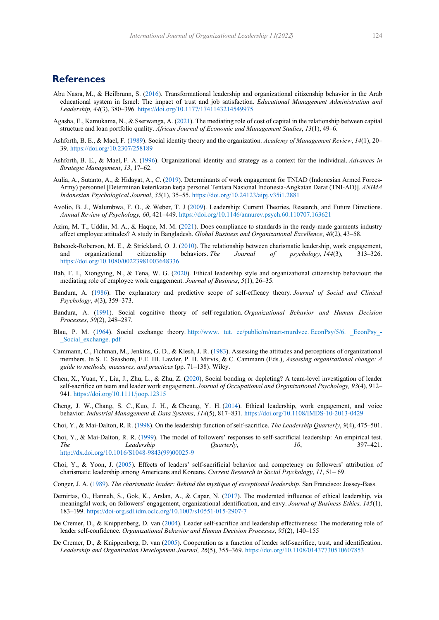# **References**

- <span id="page-12-13"></span>Abu Nasra, M., & Heilbrunn, S. [\(2016\)](#page-4-0). Transformational leadership and organizational citizenship behavior in the Arab educational system in Israel: The impact of trust and job satisfaction. *Educational Management Administration and Leadership, 44*(3), 380‒396[. https://doi.org/10.1177/1741143214549975](https://doi.org/10.1177%2F1741143214549975)
- <span id="page-12-15"></span>Agasha, E., Kamukama, N., & Sserwanga, A. [\(2021\)](#page-7-3). The mediating role of cost of capital in the relationship between capital structure and loan portfolio quality. *African Journal of Economic and Management Studies*, *13*(1), 49‒6.
- <span id="page-12-11"></span>Ashforth, B. E., & Mael, F. [\(1989\)](#page-3-0). Social identity theory and the organization. *Academy of Management Review*, *14*(1), 20‒ 39. [https://doi.org/10.2307/258189](https://psycnet.apa.org/doi/10.2307/258189)
- <span id="page-12-10"></span>Ashforth, B. E., & Mael, F. A. [\(1996\)](#page-3-1). Organizational identity and strategy as a context for the individual. *Advances in Strategic Management*, *13*, 17‒62.
- <span id="page-12-12"></span>Aulia, A., Sutanto, A., & Hidayat, A., C. [\(2019\)](#page-4-1). Determinants of work engagement for TNIAD (Indonesian Armed Forces-Army) personnel [Determinan keterikatan kerja personel Tentara Nasional Indonesia-Angkatan Darat (TNI-AD)]. *ANIMA Indonesian Psychological Journal*, *35*(1), 35–55[. https://doi.org/10.24123/aipj.v35i1.2881](https://doi.org/10.24123/aipj.v35i1.2881)
- <span id="page-12-19"></span>Avolio, B. J., Walumbwa, F. O., & Weber, T. J ([2009\)](#page-10-0). Leadership: Current Theories, Research, and Future Directions. *Annual Review of Psychology, 60*, 421‒449. https://doi.org/10.1146/annurev.psych.60.110707.163621
- <span id="page-12-9"></span>Azim, M. T., Uddin, M. A., & Haque, M. M. [\(2021\)](#page-3-2). Does compliance to standards in the ready-made garments industry affect employee attitudes? A study in Bangladesh. *Global Business and Organizational Excellence*, *40*(2), 43‒58.
- <span id="page-12-7"></span>Babcock-Roberson, M. E., & Strickland, O. J. ([2010\)](#page-2-0). The relationship between charismatic leadership, work engagement, and organizational citizenship behaviors. *The Journal of psychology*, 144(3), 313–326. <https://doi.org/10.1080/00223981003648336>
- <span id="page-12-18"></span>Bah, F. I., Xiongying, N., & Tena, W. G. [\(2020\)](#page-9-0). Ethical leadership style and organizational citizenship behaviour: the mediating role of employee work engagement. *Journal of Business*, 5(1), 26–35.
- <span id="page-12-5"></span>Bandura, A. [\(1986\)](#page-1-0). The explanatory and predictive scope of self-efficacy theory. *Journal of Social and Clinical Psychology*, *4*(3), 359‒373.
- <span id="page-12-6"></span>Bandura, A. [\(1991\)](#page-1-1). Social cognitive theory of self-regulation. *Organizational Behavior and Human Decision Processes*, *50*(2), 248‒287.
- <span id="page-12-8"></span>Blau, P. M. [\(1964\)](#page-3-3). Social exchange theory. http://www. tut. ee/public/m/mart-murdvee. EconPsy/5/6. EconPsy\_-\_Social\_exchange. pdf
- <span id="page-12-14"></span>Cammann, C., Fichman, M., Jenkins, G. D., & Klesh, J. R. [\(1983\)](#page-5-0). Assessing the attitudes and perceptions of organizational members. In S. E. Seashore, E.E. III. Lawler, P. H. Mirvis, & C. Cammann (Eds.), *Assessing organizational change: A guide to methods, measures, and practices* (pp. 71‒138). Wiley.
- <span id="page-12-20"></span>Chen, X., Yuan, Y., Liu, J., Zhu, L., & Zhu, Z. ([2020\)](#page-9-1), Social bonding or depleting? A team-level investigation of leader self-sacrifice on team and leader work engagement. *Journal of Occupational and Organizational Psychology*, 93(4), 912– 941. https://doi.org/10.1111/joop.12315
- <span id="page-12-17"></span>Cheng, J. W., Chang, S. C., Kuo, J. H., & Cheung, Y. H. [\(2014\)](#page-9-1). Ethical leadership, work engagement, and voice behavior. *Industrial Management & Data Systems*, *114*(5), 817‒831. <https://doi.org/10.1108/IMDS-10-2013-0429>
- <span id="page-12-0"></span>Choi, Y., & Mai-Dalton, R. R. [\(1998\)](#page-1-2). On the leadership function of self-sacrifice. *The Leadership Quarterly*, 9(4), 475–501.
- <span id="page-12-3"></span>Choi, Y., & Mai-Dalton, R. R. [\(1999\)](#page-1-3). The model of followers' responses to self-sacrificial leadership: An empirical test. *The Leadership Quarterly*, *10*, 397–421. [http://dx.doi.org/10.1016/S1048-9843\(99\)00025-9](http://dx.doi.org/10.1016/S1048-9843(99)00025-9)
- <span id="page-12-4"></span>Choi, Y., & Yoon, J. ([2005\)](#page-1-4). Effects of leaders' self-sacrificial behavior and competency on followers' attribution of charismatic leadership among Americans and Koreans. *Current Research in Social Psychology*, *11*, 51– 69.
- <span id="page-12-16"></span>Conger, J. A. [\(1989\)](#page-9-2). *The charismatic leader: Behind the mystique of exceptional leadership.* San Francisco: Jossey-Bass.
- <span id="page-12-21"></span>Demirtas, O., Hannah, S., Gok, K., Arslan, A., & Capar, N. [\(2017\)](#page-10-1). The moderated influence of ethical leadership, via meaningful work, on followers' engagement, organizational identification, and envy. *Journal of Business Ethics, 145*(1), 183–199. <https://doi-org.sdl.idm.oclc.org/10.1007/s10551-015-2907-7>
- <span id="page-12-1"></span>De Cremer, D., & Knippenberg, D. van [\(2004\)](#page-1-5). Leader self-sacrifice and leadership effectiveness: The moderating role of leader self-confidence. *Organizational Behavior and Human Decision Processes*, 95(2), 140–155
- <span id="page-12-2"></span>De Cremer, D., & Knippenberg, D. van [\(2005\)](#page-1-5). Cooperation as a function of leader self-sacrifice, trust, and identification. *Leadership and Organization Development Journal, 26*(5), 355‒369. https://doi.org/10.1108/01437730510607853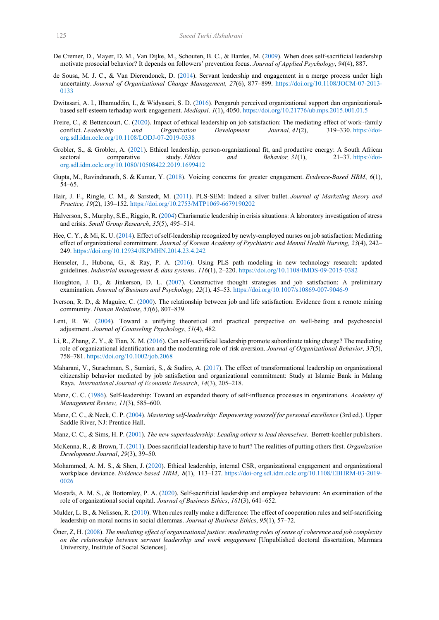- <span id="page-13-7"></span>De Cremer, D., Mayer, D. M., Van Dijke, M., Schouten, B. C., & Bardes, M. [\(2009\)](#page-1-6). When does self-sacrificial leadership motivate prosocial behavior? It depends on followers' prevention focus. *Journal of Applied Psychology*, *94*(4), 887.
- <span id="page-13-8"></span>de Sousa, M. J. C., & Van Dierendonck, D. ([2014\)](#page-2-1). Servant leadership and engagement in a merge process under high uncertainty. *Journal of Organizational Change Management, 27*(6), 877‒899. https://doi.org/10.1108/JOCM-07-2013- 0133
- <span id="page-13-18"></span>Dwitasari, A. I., Ilhamuddin, I., & Widyasari, S. D. [\(2016\)](#page-4-2). Pengaruh perceived organizational support dan organizationalbased self-esteem terhadap work engagement. *Mediapsi, 1*(1), 4050[. https://doi.org/10.21776/ub.mps.2015.001.01.5](https://doi.org/10.21776/ub.mps.2015.001.01.5)
- <span id="page-13-22"></span>Freire, C., & Bettencourt, C. [\(2020\)](#page-10-2). Impact of ethical leadership on job satisfaction: The mediating effect of work–family conflict. *Leadership and Organization Development Journal, 41*(2), 319–330. https://doiorg.sdl.idm.oclc.org/10.1108/LODJ-07-2019-0338
- <span id="page-13-17"></span>Grobler, S., & Grobler, A. [\(2021\)](#page-4-3). Ethical leadership, person-organizational fit, and productive energy: A South African sectoral comparative study. *Ethics and Behavior, 31*(1), 21–37. https://doiorg.sdl.idm.oclc.org/10.1080/10508422.2019.1699412
- <span id="page-13-16"></span>Gupta, M., Ravindranath, S. & Kumar, Y. [\(2018\)](#page-4-4). Voicing concerns for greater engagement. *Evidence-Based HRM*, *6*(1), 54‒65.
- <span id="page-13-19"></span>Hair, J. F., Ringle, C. M., & Sarstedt, M. [\(2011\)](#page-5-1). PLS-SEM: Indeed a silver bullet. *Journal of Marketing theory and Practice, 19*(2), 139‒152. <https://doi.org/10.2753/MTP1069-6679190202>
- <span id="page-13-6"></span>Halverson, S., Murphy, S.E., Riggio, R. [\(2004\)](#page-1-7) Charismatic leadership in crisis situations: A laboratory investigation of stress and crisis. *Small Group Research*, 35(5), 495-514.
- <span id="page-13-21"></span>Hee, C. Y., & Mi, K. U. [\(2014\)](#page-10-3). Effect of self-leadership recognized by newly-employed nurses on job satisfaction: Mediating effect of organizational commitment. *Journal of Korean Academy of Psychiatric and Mental Health Nursing, 23*(4), 242‒ 249. https://doi.org/10.12934/JKPMHN.2014.23.4.242
- <span id="page-13-20"></span>Henseler, J., Hubona, G., & Ray, P. A. ([2016\)](#page-5-2). Using PLS path modeling in new technology research: updated guidelines. *Industrial management & data systems, 116*(1), 2‒220. https://doi.org[/10.1108/IMDS-09-2015-0382](https://doi.org/10.1108/IMDS-09-2015-0382)
- <span id="page-13-11"></span>Houghton, J. D., & Jinkerson, D. L. ([2007\)](#page-2-2). Constructive thought strategies and job satisfaction: A preliminary examination. *Journal of Business and Psychology, 22*(1), 45–53. <https://doi.org/10.1007/s10869-007-9046-9>
- <span id="page-13-12"></span>Iverson, R. D., & Maguire, C. [\(2000\)](#page-3-4). The relationship between job and life satisfaction: Evidence from a remote mining community. *Human Relations*, *53*(6), 807‒839.
- <span id="page-13-13"></span>Lent, R. W. [\(2004\)](#page-3-5). Toward a unifying theoretical and practical perspective on well-being and psychosocial adjustment. *Journal of Counseling Psychology*, *51*(4), 482.
- <span id="page-13-9"></span>Li, R., Zhang, Z. Y., & Tian, X. M. [\(2016](#page-2-3)). Can self‐sacrificial leadership promote subordinate taking charge? The mediating role of organizational identification and the moderating role of risk aversion. *Journal of Organizational Behavior, 37*(5), 758‒781. https://doi.org/10.1002/job.2068
- <span id="page-13-14"></span>Maharani, V., Surachman, S., Sumiati, S., & Sudiro, A. [\(2017\)](#page-3-6). The effect of transformational leadership on organizational citizenship behavior mediated by job satisfaction and organizational commitment: Study at Islamic Bank in Malang Raya. *International Journal of Economic Research*, 14(3), 205-218.
- <span id="page-13-1"></span>Manz, C. C. [\(1986\)](#page-1-8). Self-leadership: Toward an expanded theory of self-influence processes in organizations. *Academy of Management Review, 11(3), 585-600.*
- <span id="page-13-2"></span>Manz, C. C., & Neck, C. P. [\(2004\)](#page-1-9). *Mastering self-leadership: Empowering yourself for personal excellence* (3rd ed.). Upper Saddle River, NJ: Prentice Hall.
- <span id="page-13-3"></span>Manz, C. C., & Sims, H. P. [\(2001\)](#page-1-10). *The new superleadership: Leading others to lead themselves*. Berrett-koehler publishers.
- <span id="page-13-0"></span>McKenna, R., & Brown, T. [\(2011\)](#page-1-11). Does sacrificial leadership have to hurt? The realities of putting others first. *Organization Development Journal*, *29*(3), 39–50.
- <span id="page-13-15"></span>Mohammed, A. M. S., & Shen, J. [\(2020\)](#page-3-7). Ethical leadership, internal CSR, organizational engagement and organizational workplace deviance. *Evidence-based HRM*,  $8(1)$ , 113-127. [https://doi-org.sdl.idm.oclc.org/10.1108/EBHRM-03-2019-](https://doi-org.sdl.idm.oclc.org/10.1108/EBHRM-03-2019-0026) [0026](https://doi-org.sdl.idm.oclc.org/10.1108/EBHRM-03-2019-0026)
- <span id="page-13-10"></span>Mostafa, A. M. S., & Bottomley, P. A. [\(2020\)](#page-2-4). Self-sacrificial leadership and employee behaviours: An examination of the role of organizational social capital. *Journal of Business Ethics*, 161(3), 641–652.
- <span id="page-13-4"></span>Mulder, L. B., & Nelissen, R. [\(2010\)](#page-1-12). When rules really make a difference: The effect of cooperation rules and self-sacrificing leadership on moral norms in social dilemmas. *Journal of Business Ethics*, 95(1), 57–72.
- <span id="page-13-5"></span>Öner, Z, H. [\(2008\)](#page-1-13). *The mediating effect of organizational justice: moderating roles of sense of coherence and job complexity on the relationship between servant leadership and work engagement* [Unpublished doctoral dissertation, Marmara University, Institute of Social Sciences].